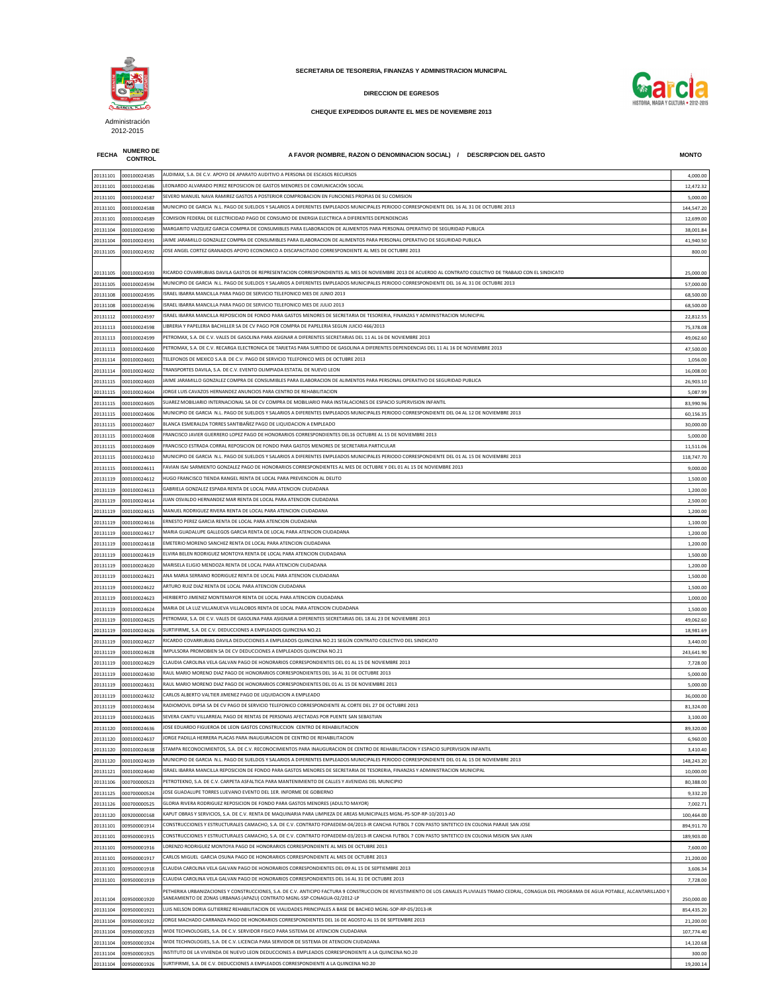**FECHA NUMERO DE** 

**CONTROL A FAVOR (NOMBRE, RAZON O DENOMINACION SOCIAL) / DESCRIPCION DEL GASTO MONTO**

| 20131101 | 000100024585 | AUDIMAX, S.A. DE C.V. APOYO DE APARATO AUDITIVO A PERSONA DE ESCASOS RECURSOS                                                                                                                                                                                                       | 4,000.00   |
|----------|--------------|-------------------------------------------------------------------------------------------------------------------------------------------------------------------------------------------------------------------------------------------------------------------------------------|------------|
| 20131101 | 000100024586 | LEONARDO ALVARADO PEREZ REPOSICION DE GASTOS MENORES DE COMUNICACIÓN SOCIAL                                                                                                                                                                                                         | 12,472.32  |
|          |              |                                                                                                                                                                                                                                                                                     |            |
| 20131101 | 000100024587 | SEVERO MANUEL NAVA RAMIREZ GASTOS A POSTERIOR COMPROBACION EN FUNCIONES PROPIAS DE SU COMISION                                                                                                                                                                                      | 5,000.00   |
| 20131101 | 000100024588 | MUNICIPIO DE GARCIA N.L. PAGO DE SUELDOS Y SALARIOS A DIFERENTES EMPLEADOS MUNICIPALES PERIODO CORRESPONDIENTE DEL 16 AL 31 DE OCTUBRE 2013                                                                                                                                         | 144,547.20 |
| 20131101 | 000100024589 | COMISION FEDERAL DE ELECTRICIDAD PAGO DE CONSUMO DE ENERGIA ELECTRICA A DIFERENTES DEPENDENCIAS                                                                                                                                                                                     | 12,699.00  |
| 20131104 | 000100024590 | MARGARITO VAZQUEZ GARCIA COMPRA DE CONSUMIBLES PARA ELABORACION DE ALIMENTOS PARA PERSONAL OPERATIVO DE SEGURIDAD PUBLICA                                                                                                                                                           | 38,001.84  |
|          |              |                                                                                                                                                                                                                                                                                     |            |
| 20131104 | 000100024591 | IAIME JARAMILLO GONZALEZ COMPRA DE CONSUMIBLES PARA ELABORACION DE ALIMENTOS PARA PERSONAL OPERATIVO DE SEGURIDAD PUBLICA                                                                                                                                                           | 41,940.50  |
| 20131105 | 000100024592 | IOSE ANGEL CORTEZ GRANADOS APOYO ECONOMICO A DISCAPACITADO CORRESPONDIENTE AL MES DE OCTUBRE 2013                                                                                                                                                                                   | 800.00     |
|          |              |                                                                                                                                                                                                                                                                                     |            |
|          |              | RICARDO COVARRUBIAS DAVILA GASTOS DE REPRESENTACION CORRESPONDIENTES AL MES DE NOVIEMBRE 2013 DE ACUERDO AL CONTRATO COLECTIVO DE TRABAJO CON EL SINDICATO                                                                                                                          |            |
| 20131105 | 000100024593 |                                                                                                                                                                                                                                                                                     | 25,000.00  |
| 20131105 | 000100024594 | MUNICIPIO DE GARCIA N.L. PAGO DE SUELDOS Y SALARIOS A DIFERENTES EMPLEADOS MUNICIPALES PERIODO CORRESPONDIENTE DEL 16 AL 31 DE OCTUBRE 2013                                                                                                                                         | 57,000.00  |
| 20131108 | 000100024595 | SRAEL IBARRA MANCILLA PARA PAGO DE SERVICIO TELEFONICO MES DE JUNIO 2013                                                                                                                                                                                                            | 68,500.00  |
| 20131108 | 000100024596 | SRAEL IBARRA MANCILLA PARA PAGO DE SERVICIO TELEFONICO MES DE JULIO 2013                                                                                                                                                                                                            | 68,500.00  |
|          |              |                                                                                                                                                                                                                                                                                     |            |
| 20131112 | 000100024597 | ISRAEL IBARRA MANCILLA REPOSICION DE FONDO PARA GASTOS MENORES DE SECRETARIA DE TESORERIA, FINANZAS Y ADMINISTRACION MUNICIPAL                                                                                                                                                      | 22,812.55  |
| 20131113 | 000100024598 | IBRERIA Y PAPELERIA BACHILLER SA DE CV PAGO POR COMPRA DE PAPELERIA SEGUN JUICIO 466/2013.                                                                                                                                                                                          | 75,378.08  |
| 20131113 | 000100024599 | PETROMAX, S.A. DE C.V. VALES DE GASOLINA PARA ASIGNAR A DIFERENTES SECRETARIAS DEL 11 AL 16 DE NOVIEMBRE 2013                                                                                                                                                                       | 49,062.60  |
|          |              | PETROMAX. S.A. DE C.V. RECARGA ELECTRONICA DE TARJETAS PARA SURTIDO DE GASOLINA A DIFERENTES DEPENDENCIAS DEL 11 AL 16 DE NOVIEMBRE 2013                                                                                                                                            |            |
| 20131113 | 000100024600 |                                                                                                                                                                                                                                                                                     | 47,500.00  |
| 20131114 | 000100024601 | TELEFONOS DE MEXICO S.A.B. DE C.V. PAGO DE SERVICIO TELEFONICO MES DE OCTUBRE 2013                                                                                                                                                                                                  | 1,056.00   |
| 20131114 | 000100024602 | TRANSPORTES DAVILA, S.A. DE C.V. EVENTO OLIMPIADA ESTATAL DE NUEVO LEON                                                                                                                                                                                                             | 16,008.00  |
|          | 000100024603 | IAIME JARAMILLO GONZALEZ COMPRA DE CONSUMIBLES PARA ELABORACION DE ALIMENTOS PARA PERSONAL OPERATIVO DE SEGURIDAD PUBLICA                                                                                                                                                           | 26,903.10  |
| 20131115 |              |                                                                                                                                                                                                                                                                                     |            |
| 20131115 | 000100024604 | IORGE LUIS CAVAZOS HERNANDEZ ANUNCIOS PARA CENTRO DE REHABILITACION                                                                                                                                                                                                                 | 5,087.99   |
| 20131115 | 000100024605 | SUAREZ MOBILIARIO INTERNACIONAL SA DE CV COMPRA DE MOBILIARIO PARA INSTALACIONES DE ESPACIO SUPERVISION INFANTIL                                                                                                                                                                    | 83,990.96  |
| 20131115 | 000100024606 | MUNICIPIO DE GARCIA  N.L. PAGO DE SUELDOS Y SALARIOS A DIFERENTES EMPLEADOS MUNICIPALES PERIODO CORRESPONDIENTE DEL 04 AL 12 DE NOVIEMBRE 2013                                                                                                                                      | 60,156.35  |
|          |              |                                                                                                                                                                                                                                                                                     |            |
| 20131115 | 000100024607 | BLANCA ESMERALDA TORRES SANTIBAÑEZ PAGO DE LIQUIDACION A EMPLEADO                                                                                                                                                                                                                   | 30,000.00  |
| 20131115 | 000100024608 | FRANCISCO JAVIER GUERRERO LOPEZ PAGO DE HONORARIOS CORRESPONDIENTES DEL16 OCTUBRE AL 15 DE NOVIEMBRE 2013                                                                                                                                                                           | 5,000.00   |
| 20131115 | 000100024609 | FRANCISCO ESTRADA CORRAL REPOSICION DE FONDO PARA GASTOS MENORES DE SECRETARIA PARTICULAR                                                                                                                                                                                           | 11,511.06  |
|          |              | MUNICIPIO DE GARCIA N.L. PAGO DE SUELDOS Y SALARIOS A DIFERENTES EMPLEADOS MUNICIPALES PERIODO CORRESPONDIENTE DEL 01 AL 15 DE NOVIEMBRE 2013                                                                                                                                       |            |
| 20131115 | 000100024610 |                                                                                                                                                                                                                                                                                     | 118,747.70 |
| 20131115 | 000100024611 | FAVIAN ISAI SARMIENTO GONZALEZ PAGO DE HONORARIOS CORRESPONDIENTES AL MES DE OCTUBRE Y DEL 01 AL 15 DE NOVIEMBRE 2013                                                                                                                                                               | 9,000.00   |
| 20131119 | 000100024612 | HUGO FRANCISCO TIENDA RANGEL RENTA DE LOCAL PARA PREVENCION AL DELITO                                                                                                                                                                                                               | 1,500.00   |
|          |              | GABRIELA GONZALEZ ESPAÐA RENTA DE LOCAL PARA ATENCION CIUDADANA                                                                                                                                                                                                                     |            |
| 20131119 | 000100024613 |                                                                                                                                                                                                                                                                                     | 1,200.00   |
| 20131119 | 000100024614 | UAN OSVALDO HERNANDEZ MAR RENTA DE LOCAL PARA ATENCION CIUDADANA                                                                                                                                                                                                                    | 2,500.00   |
| 20131119 | 000100024615 | MANUEL RODRIGUEZ RIVERA RENTA DE LOCAL PARA ATENCION CIUDADANA                                                                                                                                                                                                                      | 1,200.00   |
| 20131119 | 000100024616 | ERNESTO PEREZ GARCIA RENTA DE LOCAL PARA ATENCION CIUDADANA                                                                                                                                                                                                                         | 1,100.00   |
|          |              |                                                                                                                                                                                                                                                                                     |            |
| 20131119 | 000100024617 | MARIA GUADALUPE GALLEGOS GARCIA RENTA DE LOCAL PARA ATENCION CIUDADANA                                                                                                                                                                                                              | 1,200.00   |
| 20131119 | 000100024618 | EMETERIO MORENO SANCHEZ RENTA DE LOCAL PARA ATENCION CIUDADANA                                                                                                                                                                                                                      | 1,200.00   |
| 20131119 | 000100024619 | ELVIRA BELEN RODRIGUEZ MONTOYA RENTA DE LOCAL PARA ATENCION CIUDADANA                                                                                                                                                                                                               | 1,500.00   |
|          |              |                                                                                                                                                                                                                                                                                     |            |
| 20131119 | 000100024620 | MARISELA ELIGIO MENDOZA RENTA DE LOCAL PARA ATENCION CIUDADANA                                                                                                                                                                                                                      | 1,200.00   |
| 20131119 | 000100024621 | ANA MARIA SERRANO RODRIGUEZ RENTA DE LOCAL PARA ATENCION CIUDADANA                                                                                                                                                                                                                  | 1,500.00   |
| 20131119 | 000100024622 | ARTURO RUIZ DIAZ RENTA DE LOCAL PARA ATENCION CIUDADANA                                                                                                                                                                                                                             | 1,500.00   |
|          |              | HERIBERTO JIMENEZ MONTEMAYOR RENTA DE LOCAL PARA ATENCION CIUDADANA                                                                                                                                                                                                                 |            |
| 20131119 | 000100024623 |                                                                                                                                                                                                                                                                                     | 1,000.00   |
| 20131119 | 000100024624 | MARIA DE LA LUZ VILLANUEVA VILLALOBOS RENTA DE LOCAL PARA ATENCION CIUDADANA                                                                                                                                                                                                        | 1,500.00   |
| 20131119 | 000100024625 | PETROMAX, S.A. DE C.V. VALES DE GASOLINA PARA ASIGNAR A DIFERENTES SECRETARIAS DEL 18 AL 23 DE NOVIEMBRE 2013                                                                                                                                                                       | 49,062.60  |
| 20131119 | 000100024626 | SURTIFIRME, S.A. DE C.V. DEDUCCIONES A EMPLEADOS QUINCENA NO.21                                                                                                                                                                                                                     | 18,981.69  |
|          |              |                                                                                                                                                                                                                                                                                     |            |
| 20131119 | 000100024627 | RICARDO COVARRUBIAS DAVILA DEDUCCIONES A EMPLEADOS QUINCENA NO.21 SEGÚN CONTRATO COLECTIVO DEL SINDICATO                                                                                                                                                                            | 3,440.00   |
| 20131119 | 000100024628 | MPULSORA PROMOBIEN SA DE CV DEDUCCIONES A EMPLEADOS QUINCENA NO.21                                                                                                                                                                                                                  | 243,641.90 |
| 20131119 | 000100024629 | CLAUDIA CAROLINA VELA GALVAN PAGO DE HONORARIOS CORRESPONDIENTES DEL 01 AL 15 DE NOVIEMBRE 2013                                                                                                                                                                                     | 7,728.00   |
|          |              | RAUL MARIO MORENO DIAZ PAGO DE HONORARIOS CORRESPONDIENTES DEL 16 AL 31 DE OCTUBRE 2013                                                                                                                                                                                             |            |
| 20131119 | 000100024630 |                                                                                                                                                                                                                                                                                     | 5,000.00   |
| 20131119 | 000100024631 | RAUL MARIO MORENO DIAZ PAGO DE HONORARIOS CORRESPONDIENTES DEL 01 AL 15 DE NOVIEMBRE 2013                                                                                                                                                                                           | 5,000.00   |
| 20131119 | 000100024632 | CARLOS ALBERTO VALTIER JIMENEZ PAGO DE LIQUIDACION A EMPLEADO                                                                                                                                                                                                                       | 36,000.00  |
| 20131119 | 000100024634 | RADIOMOVIL DIPSA SA DE CV PAGO DE SERVICIO TELEFONICO CORRESPONDIENTE AL CORTE DEL 27 DE OCTUBRE 2013                                                                                                                                                                               | 81,324.00  |
|          |              |                                                                                                                                                                                                                                                                                     |            |
| 20131119 | 000100024635 | SEVERA CANTU VILLARREAL PAGO DE RENTAS DE PERSONAS AFECTADAS POR PUENTE SAN SEBASTIAN                                                                                                                                                                                               | 3,100.00   |
| 20131120 | 000100024636 | OSE EDUARDO FIGUEROA DE LEON GASTOS CONSTRUCCION CENTRO DE REHABILITACION                                                                                                                                                                                                           | 89,320.00  |
| 20131120 | 000100024637 | IORGE PADILLA HERRERA PLACAS PARA INAUGURACION DE CENTRO DE REHABILITACION                                                                                                                                                                                                          | 6,960.00   |
|          |              |                                                                                                                                                                                                                                                                                     |            |
|          |              |                                                                                                                                                                                                                                                                                     |            |
| 20131120 | 000100024638 | STAMPA RECONOCIMIENTOS, S.A. DE C.V. RECONOCIMIENTOS PARA INAUGURACION DE CENTRO DE REHABILITACION Y ESPACIO SUPERVISION INFANTIL                                                                                                                                                   | 3,410.40   |
| 20131120 | 000100024639 | MUNICIPIO DE GARCIA N.L. PAGO DE SUELDOS Y SALARIOS A DIFERENTES EMPLEADOS MUNICIPALES PERIODO CORRESPONDIENTE DEL 01 AL 15 DE NOVIEMBRE 2013                                                                                                                                       | 148,243.20 |
| 20131121 | 000100024640 | ISRAEL IBARRA MANCILLA REPOSICION DE FONDO PARA GASTOS MENORES DE SECRETARIA DE TESORERIA, FINANZAS Y ADMINISTRACION MUNICIPAL                                                                                                                                                      | 10,000.00  |
|          |              | PETROTEKNO, S.A. DE C.V. CARPETA ASFALTICA PARA MANTENIMIENTO DE CALLES Y AVENIDAS DEL MUNICIPIO                                                                                                                                                                                    |            |
| 20131106 | 000700000523 |                                                                                                                                                                                                                                                                                     | 80,388.00  |
| 20131125 | 000700000524 | IOSE GUADALUPE TORRES LUEVANO EVENTO DEL 1ER. INFORME DE GOBIERNO                                                                                                                                                                                                                   | 9,332.20   |
| 20131126 | 000700000525 | GLORIA RIVERA RODRIGUEZ REPOSICION DE FONDO PARA GASTOS MENORES (ADULTO MAYOR)                                                                                                                                                                                                      | 7,002.71   |
| 20131120 | 009200000168 | KAPUT OBRAS Y SERVICIOS, S.A. DE C.V. RENTA DE MAQUINARIA PARA LIMPIEZA DE AREAS MUNICIPALES MGNL-PS-SOP-RP-10/2013-AD                                                                                                                                                              | 100,464.00 |
|          |              |                                                                                                                                                                                                                                                                                     |            |
| 20131101 | 009500001914 | CONSTRUCCIONES Y ESTRUCTURALES CAMACHO, S.A. DE C.V. CONTRATO FOPAEDEM-04/2013-IR CANCHA FUTBOL 7 CON PASTO SINTETICO EN COLONIA PARAJE SAN JOSE                                                                                                                                    | 894,911.70 |
| 20131101 | 009500001915 | CONSTRUCCIONES Y ESTRUCTURALES CAMACHO, S.A. DE C.V. CONTRATO FOPAEDEM-03/2013-IR CANCHA FUTBOL 7 CON PASTO SINTETICO EN COLONIA MISION SAN JUAN                                                                                                                                    | 189,903.00 |
| 20131101 | 009500001916 | LORENZO RODRIGUEZ MONTOYA PAGO DE HONORARIOS CORRESPONDIENTE AL MES DE OCTUBRE 2013                                                                                                                                                                                                 | 7,600.00   |
|          |              | CARLOS MIGUEL  GARCIA OSUNA PAGO DE HONORARIOS CORRESPONDIENTE AL MES DE OCTUBRE 2013                                                                                                                                                                                               |            |
| 20131101 | 009500001917 |                                                                                                                                                                                                                                                                                     | 21,200.00  |
| 20131101 | 009500001918 | CLAUDIA CAROLINA VELA GALVAN PAGO DE HONORARIOS CORRESPONDIENTES DEL 09 AL 15 DE SEPTIEMBRE 2013                                                                                                                                                                                    | 3,606.34   |
| 20131101 | 009500001919 | CLAUDIA CAROLINA VELA GALVAN PAGO DE HONORARIOS CORRESPONDIENTES DEL 16 AL 31 DE OCTUBRE 2013                                                                                                                                                                                       | 7,728.00   |
|          |              |                                                                                                                                                                                                                                                                                     |            |
| 20131104 | 009500001920 | PETHERIKA URBANIZACIONES Y CONSTRUCCIONES, S.A. DE C.V. ANTICIPO FACTURA 9 CONSTRUCCION DE REVESTIMIENTO DE LOS CANALES PLUVIALES TRAMO CEDRAL, CONAGUA DEL PROGRAMA DE AGUA POTABLE, ALCANTARILLADO Y<br>SANEAMIENTO DE ZONAS URBANAS (APAZU) CONTRATO MGNL-SSP-CONAGUA-02/2012-LP |            |
|          |              |                                                                                                                                                                                                                                                                                     | 250,000.00 |
| 20131104 | 009500001921 | LUIS NELSON DORIA GUTIERREZ REHABILITACION DE VIALIDADES PRINCIPALES A BASE DE BACHEO MGNL-SOP-RP-05/2013-IR                                                                                                                                                                        | 854,435.20 |
| 20131104 | 009500001922 | ORGE MACHADO CARRANZA PAGO DE HONORARIOS CORRESPONDIENTES DEL 16 DE AGOSTO AL 15 DE SEPTEMBRE 2013                                                                                                                                                                                  | 21,200.00  |
| 20131104 | 009500001923 | WIDE TECHNOLOGIES, S.A. DE C.V. SERVIDOR FISICO PARA SISTEMA DE ATENCION CIUDADANA                                                                                                                                                                                                  | 107,774.40 |
|          |              | WIDE TECHNOLOGIES, S.A. DE C.V. LICENCIA PARA SERVIDOR DE SISTEMA DE ATENCION CIUDADANA                                                                                                                                                                                             |            |
| 20131104 | 009500001924 |                                                                                                                                                                                                                                                                                     | 14,120.68  |
| 20131104 | 009500001925 | NSTITUTO DE LA VIVIENDA DE NUEVO LEON DEDUCCIONES A EMPLEADOS CORRESPONDIENTE A LA QUINCENA NO.20<br>SURTIFIRME, S.A. DE C.V. DEDUCCIONES A EMPLEADOS CORRESPONDIENTE A LA QUINCENA NO.20                                                                                           | 300.00     |

**SECRETARIA DE TESORERIA, FINANZAS Y ADMINISTRACION MUNICIPAL**



**DIRECCION DE EGRESOS**

## **CHEQUE EXPEDIDOS DURANTE EL MES DE NOVIEMBRE 2013**



Administración 2012-2015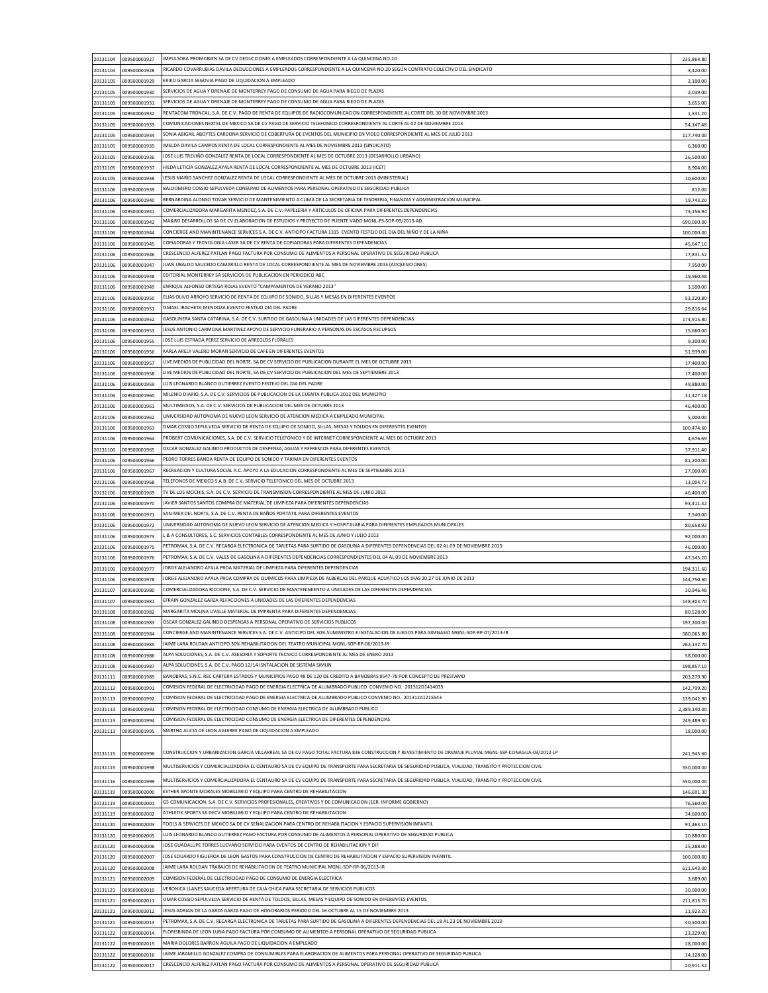| 20131104             | 009500001927                 | IMPULSORA PROMOBIEN SA DE CV DEDUCCIONES A EMPLEADOS CORRESPONDIENTE A LA QUINCENA NO.20                                                                                                                                               | 235,864.80             |
|----------------------|------------------------------|----------------------------------------------------------------------------------------------------------------------------------------------------------------------------------------------------------------------------------------|------------------------|
| 20131104             | 009500001928                 | RICARDO COVARRUBIAS DAVILA DEDUCCIONES A EMPLEADOS CORRESPONDIENTE A LA QUINCENA NO.20 SEGÚN CONTRATO COLECTIVO DEL SINDICATO                                                                                                          | 3,420.00               |
| 20131105             | 009500001929                 | ERIKO GARCIA SEGOVIA PAGO DE LIQUIDACION A EMPLEADO                                                                                                                                                                                    | 2,100.00               |
| 20131105             | 009500001930                 | SERVICIOS DE AGUA Y DRENAJE DE MONTERREY PAGO DE CONSUMO DE AGUA PARA RIEGO DE PLAZAS                                                                                                                                                  | 2,039.00               |
| 20131105             | 009500001931                 | SERVICIOS DE AGUA Y DRENAJE DE MONTERREY PAGO DE CONSUMO DE AGUA PARA RIEGO DE PLAZAS                                                                                                                                                  | 3,655.00               |
| 20131105             | 009500001932                 | RENTACOM TRONCAL, S.A. DE C.V. PAGO DE RENTA DE EQUIPOS DE RADIOCOMUNICACION CORRESPONDIENTE AL CORTE DEL 10 DE NOVIEMBRE 2013                                                                                                         | 1,531.20               |
| 20131105             | 009500001933                 | COMUNICACIONES NEXTEL DE MEXICO SA DE CV PAGO DE SERVICIO TELEFONICO CORRESPONDIENTE AL CORTE AL 02 DE NOVIEMBRE 2013                                                                                                                  | 54,147.48              |
| 20131105             | 009500001934                 | SONIA ABIGAIL ABOYTES CARDONA SERVICIO DE COBERTURA DE EVENTOS DEL MUNICIPIO EN VIDEO CORRESPONDIENTE AL MES DE JULIO 2013                                                                                                             | 117,740.00             |
| 20131105             | 009500001935                 | IMELDA DAVILA CAMPOS RENTA DE LOCAL CORRESPONDIENTE AL MES DE NOVIEMBRE 2013 (SINDICATO)                                                                                                                                               | 6,360.00               |
| 20131105             | 009500001936                 | (OSE LUIS TREVIÑO GONZALEZ RENTA DE LOCAL CORRESPONDIENTE AL MES DE OCTUBRE 2013 (DESARROLLO URBANO                                                                                                                                    | 26,500.00              |
| 20131105             | 009500001937                 | HILDA LETICIA GONZALEZ AYALA RENTA DE LOCAL CORRESPONDIENTE AL MES DE OCTUBRE 2013 (ICET)                                                                                                                                              | 8,904.00               |
| 20131105             | 009500001938                 | (MINISTERIAL) IESUS MARIO SANCHEZ BATTER DE LOCAL CORRESPONDIENTE AL MES DE OCTUBRE 2013                                                                                                                                               | 10,600.00              |
| 20131106             | 009500001939                 | BALDOMERO COSSIO SEPULVEDA CONSUMO DE ALIMENTOS PARA PERSONAL OPERATIVO DE SEGURIDAD PUBLICA                                                                                                                                           | 812.00                 |
| 20131106             | 009500001940                 | BERNARDINA ALONSO TOVAR SERVICIO DE MANTENIMIENTO A CLIMA DE LA SECRETARIA DE TESORERIA, FINANZAS Y ADMINISTRACION MUNICIPAL                                                                                                           | 19,743.20              |
| 20131106             | 009500001941                 | COMERCIALIZADORA MARGARITA MENDEZ, S.A. DE C.V. PAPELERIA Y ARTICULOS DE OFICINA PARA DIFERENTES DEPENDENCIAS                                                                                                                          | 73,156.94              |
| 20131106             | 009500001942                 | MA&RO DESARROLLOS SA DE CV ELABORACION DE ESTUDIOS Y PROYECTO DE PUENTE VADO MGNL-PS-SOP-09/2013-AD                                                                                                                                    | 690,000.00             |
| 20131106             | 009500001944                 | CONCIERGE AND MANINTENANCE SERVICES S.A. DE C.V. ANTICIPO FACTURA 1315 EVENTO FESTEJO DEL DIA DEL NIÑO Y DE LA NIÑA                                                                                                                    | 100,000.00             |
| 20131106             | 009500001945                 | COPIADORAS Y TECNOLOGIA LASER SA DE CV RENTA DE COPIADORAS PARA DIFERENTES DEPENDENCIAS                                                                                                                                                |                        |
| 20131106             | 009500001946                 | CRESCENCIO ALFEREZ PATLAN PAGO FACTURA POR CONSUMO DE ALIMENTOS A PERSONAL OPERATIVO DE SEGURIDAD PUBLICA                                                                                                                              | 45,647.16<br>17,831.52 |
| 20131106             | 009500001947                 | JUAN UBALDO SAUCEDO CAMARILLO RENTA DE LOCAL CORRESPONDIENTE AL MES DE NOVIEMBRE 2013 (ADQUISICIONES)                                                                                                                                  |                        |
|                      |                              | EDITORIAL MONTERREY SA SERVICIOS DE PUBLICACION EN PERIODICO ABC                                                                                                                                                                       | 7,950.00               |
| 20131106             | 009500001948                 | ENRIQUE ALFONSO ORTEGA ROJAS EVENTO "CAMPAMENTOS DE VERANO 2013"                                                                                                                                                                       | 19,960.48              |
| 20131106             | 009500001949                 | ELIAS OLIVO ARROYO SERVICIO DE RENTA DE EQUIPO DE SONIDO, SILLAS Y MESAS EN DIFERENTES EVENTOS                                                                                                                                         | 3,500.00               |
| 20131106             | 009500001950                 | ISMAEL IRACHETA MENDOZA EVENTO FESTEJO DIA DEL PADRE                                                                                                                                                                                   | 53,220.80              |
| 20131106             | 009500001951                 |                                                                                                                                                                                                                                        | 29,816.64              |
| 20131106             | 009500001952                 | GASOLINERA SANTA CATARINA, S.A. DE C.V. SURTIDO DE GASOLINA A UNIDADES DE LAS DIFERENTES DEPENDENCIAS                                                                                                                                  | 174,915.80             |
| 20131106             | 009500001953                 | JESUS ANTONIO CARMONA MARTINEZ APOYO DE SERVICIO FUNERARIO A PERSONAS DE ESCASOS RECURSOS                                                                                                                                              | 15,660.00              |
| 20131106             | 009500001955                 | JOSE LUIS ESTRADA PEREZ SERVICIO DE ARREGLOS FLORALES                                                                                                                                                                                  | 9,200.00               |
| 20131106             | 009500001956                 | KARLA ARELY VALERO MORAN SERVICIO DE CAFE EN DIFERENTES EVENTOS                                                                                                                                                                        | 51,939.00              |
| 20131106             | 009500001957                 | LIVE MEDIOS DE PUBLICIDAD DEL NORTE, SA DE CV SERVICIO DE PUBLICACION DURANTE EL MES DE OCTUBRE 2013                                                                                                                                   | 17,400.00              |
| 20131106             | 009500001958                 | LIVE MEDIOS DE PUBLICIDAD DEL NORTE, SA DE CV SERVICIO DE PUBLICACION DEL MES DE SEPTIEMBRE 2013                                                                                                                                       | 17,400.00              |
| 20131106             | 009500001959                 | LUIS LEONARDO BLANCO GUTIERREZ EVENTO FESTEJO DEL DIA DEL PADRE                                                                                                                                                                        | 49,880.00              |
| 20131106             | 009500001960                 | MILENIO DIARIO, S.A. DE C.V. SERVICIOS DE PUBLICACION DE LA CUENTA PUBLICA 2012 DEL MUNICIPIO                                                                                                                                          | 31,427.18              |
| 20131106             | 009500001961                 | MULTIMEDIOS. S.A. DE C.V. SERVICIOS DE PUBLICACION DEL MES DE OCTUBRE 2013                                                                                                                                                             | 46,400.00              |
| 20131106             | 009500001962                 | UNIVERSIDAD AUTONOMA DE NUEVO LEON SERVICIO DE ATENCION MEDICA A EMPLEADO MUNICIPAL                                                                                                                                                    | 5,000.00               |
| 20131106             | 009500001963                 | OMAR COSSIO SEPULVEDA SERVICIO DE RENTA DE EQUIPO DE SONIDO, SILLAS, MESAS Y TOLDOS EN DIFERENTES EVENTOS                                                                                                                              | 100,474.60             |
| 20131106             | 009500001964                 | PROBERT COMUNICACIONES, S.A. DE C.V. SERVICIO TELEFONICO Y DE INTERNET CORRESPONDIENTE AL MES DE OCTUBRE 2013                                                                                                                          | 4,676.69               |
| 20131106             | 009500001965                 | OSCAR GONZALEZ GALINDO PRODUCTOS DE DESPENSA, AGUAS Y REFRESCOS PARA DIFERENTES EVENTOS                                                                                                                                                | 37,911.40              |
| 20131106             | 009500001966                 | PEDRO TORRES BANDA RENTA DE EQUIPO DE SONIDO Y TARIMA EN DIFERENTES EVENTOS                                                                                                                                                            | 81,200.00              |
| 20131106             | 009500001967                 | RECREACION Y CULTURA SOCIAL A.C. APOYO A LA EDUCACION CORRESPONDIENTE AL MES DE SEPTIEMBRE 2013                                                                                                                                        | 27,000.00              |
| 20131106             | 009500001968                 | TELEFONOS DE MEXICO S.A.B. DE C.V. SERVICIO TELEFONICO DEL MES DE OCTUBRE 2013                                                                                                                                                         | 13,004.72              |
| 20131106             | 009500001969                 | TV DE LOS MOCHIS, S.A. DE C.V. SERVICIO DE TRANSMISION CORRESPONDIENTE AL MES DE JUNIO 2013                                                                                                                                            | 46,400.00              |
| 20131106             | 009500001970                 | JAVIER SANTOS SANTOS COMPRA DE MATERIAL DE LIMPIEZA PARA DIFERENTES DEPENDENCIAS                                                                                                                                                       | 93,411.32              |
| 20131106             | 009500001971                 | SAN-MEX DEL NORTE, S.A. DE C.V. RENTA DE BAÑOS PORTATIL PARA DIFERENTES EVENTOS                                                                                                                                                        | 7,540.00               |
| 20131106             | 009500001972                 | UNIVERSIDAD AUTONOMA DE NUEVO LEON SERVICIO DE ATENCION MEDICA Y HOSPITALARIA PARA DIFERENTES EMPLEADOS MUNICIPALES                                                                                                                    | 80,658.92              |
| 20131106             | 009500001973                 | . & A CONSULTORES, S.C. SERVICIOS CONTABLES CORRESPONDIENTE AL MES DE JUNIO Y JULIO 2013                                                                                                                                               | 92,000.00              |
| 20131106             | 009500001975                 | PETROMAX, S.A. DE C.V. RECARGA ELECTRONICA DE TARJETAS PARA SURTIDO DE GASOLINA A DIFERENTES DEPENDENCIAS DEL 02 AL 09 DE NOVIEMBRE 2013                                                                                               | 46,000.00              |
| 20131106             | 009500001976                 | PETROMAX, S.A. DE C.V. VALES DE GASOLINA A DIFERENTES DEPENDENCIAS CORRESPONDIENTES DEL 04 AL 09 DE NOVIEMBRE 2013                                                                                                                     | 47,545.20              |
| 20131106             | 009500001977                 | JORGE ALEJANDRO AYALA PROA MATERIAL DE LIMPIEZA PARA DIFERENTES DEPENDENCIAS                                                                                                                                                           | 194,311.60             |
| 20131106             | 009500001978                 | JORGE ALEJANDRO AYALA PROA COMPRA DE QUIMICOS PARA LIMPIEZA DE ALBERCAS DEL PARQUE ACUATICO LOS DIAS 20,27 DE JUNIO DE 2013                                                                                                            | 144,750.60             |
| 20131107             | 009500001980                 | COMERCIALIZADORA RICCIONE, S.A. DE C.V. SERVICIO DE MANTENIMIENTO A UNIDADES DE LAS DIFERENTES DEPENDENCIAS                                                                                                                            | 30,946.48              |
| 20131107             | 009500001981                 | EFRAIN GONZALEZ GARZA REFACCIONES A UNIDADES DE LAS DIFERENTES DEPENDENCIAS                                                                                                                                                            | 148,303.70             |
| 20131108             | 009500001982                 | MARGARITA MOLINA UVALLE MATERIAL DE IMPRENTA PARA DIFERENTES DEPENDENCIAS                                                                                                                                                              | 80,528.00              |
| 20131108             | 009500001983                 | OSCAR GONZALEZ GALINDO DESPENSAS A PERSONAL OPERATIVO DE SERVICIOS PUBLICOS                                                                                                                                                            | 197,200.00             |
| 20131108             | 009500001984                 | CONCIERGE AND MANINTENANCE SERVICES S.A. DE C.V. ANTICIPO DEL 30% SUMINISTRO E INSTALACION DE JUEGOS PARA GIMNASIO MGNL-SOP-RP-07/2013-IR                                                                                              | 580,065.80             |
| 20131108             | 009500001985                 | JAIME LARA ROLDAN ANTICIPO 30% REHABILITACION DEL TEATRO MUNICIPAL MGNL-SOP-RP-06/2013-IR                                                                                                                                              | 262,132.70             |
| 20131108             | 009500001986                 | ALPA SOLUCIONES, S.A. DE C.V. ASESORIA Y SOPORTE TECNICO CORRESPONDIENTE AL MES DE ENERO 2013                                                                                                                                          | 58,000.00              |
| 20131108             | 009500001987                 | ALPA SOLUCIONES, S.A. DE C.V. PAGO 12/14 ISNTALACION DE SISTEMA SIMUN                                                                                                                                                                  | 198,857.10             |
| 20131111             | 009500001989                 | BANOBRAS, S.N.C. REC CARTERA ESTADOS Y MUNICIPIOS PAGO 48 DE 120 DE CREDITO A BANOBRAS 8547-78 POR CONCEPTO DE PRESTAMO                                                                                                                | 203,279.90             |
| 20131113             | 009500001991                 | COMISION FEDERAL DE ELECTRICIDAD PAGO DE ENERGIA ELECTRICA DE ALUMBRADO PUBLICO CONVENIO NO. 201312D1414035                                                                                                                            | 142,799.20             |
| 20131113             | 009500001992                 | COMISION FEDERAL DE ELECTRICIDAD PAGO DE ENERGIA ELECTRICA DE ALUMBRADO PUBLICO CONVENIO NO. 201312A1215543                                                                                                                            | 139,042.90             |
| 20131113             | 009500001993                 | COMISION FEDERAL DE ELECTRICIDAD CONSUMO DE ENERGIA ELECTRICA DE ALUMBRADO PUBLICO                                                                                                                                                     | 2,389,340.00           |
| 20131113             | 009500001994                 | COMISION FEDERAL DE ELECTRICIDAD CONSUMO DE ENERGIA ELECTRICA DE DIFERENTES DEPENDENCIAS                                                                                                                                               | 249,489.30             |
| 20131113             | 009500001995                 | MARTHA ALICIA DE LEON AGUIRRE PAGO DE LIQUIDACION A EMPLEADO                                                                                                                                                                           | 18,000.00              |
|                      |                              |                                                                                                                                                                                                                                        |                        |
| 20131115             | 009500001996                 | CONSTRUCCION Y URBANIZACION GARCIA VILLARREAL SA DE CV PAGO TOTAL FACTURA 836 CONSTRUCCION Y REVESTIMIENTO DE DRENAJE PLUVIAL MGNL-SSP-CONAGUA-03/2012-LP                                                                              | 241,945.60             |
| 20131115             | 009500001998                 | MULTISERVICIOS Y COMERCIALIZADORA EL CENTAURO SA DE CV EQUIPO DE TRANSPORTE PARA SECRETARIA DE SEGURIDAD PUBLICA, VIALIDAD, TRANSITO Y PROTECCION CIVIL                                                                                | 550,000.00             |
|                      |                              |                                                                                                                                                                                                                                        |                        |
| 20131116             | 009500001999                 | MULTISERVICIOS Y COMERCIALIZADORA EL CENTAURO SA DE CV EQUIPO DE TRANSPORTE PARA SECRETARIA DE SEGURIDAD PUBLICA, VIALIDAD, TRANSITO Y PROTECCION CIVIL                                                                                | 550,000.00             |
| 20131119             | 009500002000                 | ESTHER APONTE MORALES MOBILIARIO Y EQUIPO PARA CENTRO DE REHABILITACION                                                                                                                                                                | 146,691.30             |
| 20131119             |                              |                                                                                                                                                                                                                                        |                        |
| 20131119             | 009500002001                 | G5 COMUNICACION, S.A. DE C.V. SERVICIOS PROFESIONALES, CREATIVOS Y DE COMUNICACION (1ER. INFORME GOBIERNO)                                                                                                                             | 76,560.00              |
| 20131120             | 009500002002                 | ATHLETIK SPORTS SA DECV MOBILIARIO Y EQUIPO PARA CENTRO DE REHABILITACION                                                                                                                                                              | 34,600.00              |
|                      | 009500002003                 | TOOLS & SERVICES DE MEXICO SA DE CV SEÑALIZACION PARA CENTRO DE REHABILITACION Y ESPACIO SUPERVISION INFANTIL                                                                                                                          | 91,463.10              |
| 20131120             | 009500002005                 | LUIS LEONARDO BLANCO GUTIERREZ PAGO FACTURA POR CONSUMO DE ALIMENTOS A PERSONAL OPERATIVO DE SEGURIDAD PUBLICA                                                                                                                         | 20,880.00              |
| 20131120             | 009500002006                 | JOSE GUADALUPE TORRES LUEVANO SERVICIO PARA EVENTOS DE CENTRO DE REHABILITACION Y DIF                                                                                                                                                  | 25,288.00              |
| 20131120             | 009500002007                 | JOSE EDUARDO FIGUEROA DE LEON GASTOS PARA CONSTRUCCION DE CENTRO DE REHABILITACION Y ESPACIO SUPERVISION INFANTIL                                                                                                                      | 100,000.00             |
| 20131120             | 009500002008                 | JAIME LARA ROLDAN TRABAJOS DE REHABILITACION DE TEATRO MUNICIPAL MGNL-SOP-RP-06/2013-IR                                                                                                                                                | 611,643.00             |
| 20131121             | 009500002009                 | COMISION FEDERAL DE ELECTRICIDAD PAGO DE CONSUMO DE ENERGIA ELECTRICA                                                                                                                                                                  | 3,689.00               |
| 20131121             | 009500002010                 | VERONICA LLANES SAUCEDA APERTURA DE CAJA CHICA PARA SECRETARIA DE SERVICIOS PUBLICOS                                                                                                                                                   | 30,000.00              |
| 20131121             | 009500002011                 | OMAR COSSIO SEPULVEDA SERVICIO DE RENTA DE TOLDOS, SILLAS, MESAS Y EQUIPO DE SONIDO EN DIFERENTES EVENTOS                                                                                                                              | 211,813.70             |
| 20131121             | 009500002012                 | JESUS ADRIAN DE LA GARZA GARZA PAGO DE HONORARIOS PERIODO DEL 16 OCTUBRE AL 15 DE NOVIEMBRE 2013                                                                                                                                       | 11,923.20              |
| 20131121             | 009500002013                 | PETROMAX, S.A. DE C.V. RECARGA ELECTRONICA DE TARJETAS PARA SURTIDO DE GASOLINA A DIFERENTES DEPENDENCIAS DEL 18 AL 23 DE NOVIEMBRE 2013                                                                                               | 40,500.00              |
| 20131122             | 009500002014                 | FLORISBINDA DE LEON LUNA PAGO FACTURA POR CONSUMO DE ALIMENTOS A PERSONAL OPERATIVO DE SEGURIDAD PUBLICA                                                                                                                               | 23,229.00              |
| 20131122             | 009500002015                 | MARIA DOLORES BARRON AGUILA PAGO DE LIQUIDACION A EMPLEADO                                                                                                                                                                             | 28,000.00              |
| 20131122<br>20131122 | 009500002016<br>009500002017 | JAIME JARAMILLO GONZALEZ COMPRA DE CONSUMIBLES PARA ELABORACION DE ALIMENTOS PARA PERSONAL OPERATIVO DE SEGURIDAD PUBLICA<br>CRESCENCIO ALFEREZ PATLAN PAGO FACTURA POR CONSUMO DE ALIMENTOS A PERSONAL OPERATIVO DE SEGURIDAD PUBLICA | 14,128.00<br>20,911.32 |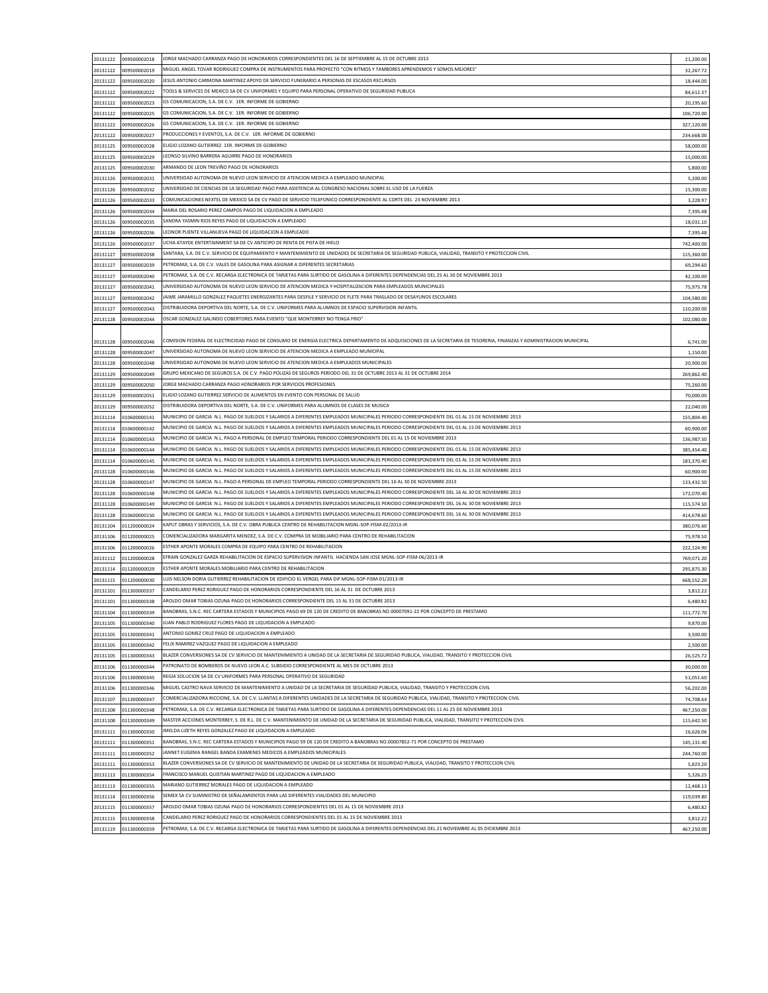| 20131122                                                             | 009500002018 | IORGE MACHADO CARRANZA PAGO DE HONORARIOS CORRESPONDIENTES DEL 16 DE SEPTIEMBRE AL 15 DE OCTUBRE 2013                                                                  | 21,200.00                                         |
|----------------------------------------------------------------------|--------------|------------------------------------------------------------------------------------------------------------------------------------------------------------------------|---------------------------------------------------|
| 20131122                                                             | 009500002019 | MIGUEL ANGEL TOVAR RODRIGUEZ COMPRA DE INSTRUMENTOS PARA PROYECTO "CON RITMOS Y TAMBORES APRENDEMOS Y SOMOS MEJORES"                                                   | 32,267.72                                         |
| 20131122                                                             | 009500002020 | JESUS ANTONIO CARMONA MARTINEZ APOYO DE SERVICIO FUNERARIO A PERSONAS DE ESCASOS RECURSOS                                                                              | 18,444.00                                         |
|                                                                      |              |                                                                                                                                                                        |                                                   |
| 20131122                                                             | 009500002022 | TOOLS & SERVICES DE MEXICO SA DE CV UNIFORMES Y EQUIPO PARA PERSONAL OPERATIVO DE SEGURIDAD PUBLICA                                                                    | 84,612.37                                         |
| 20131122                                                             | 009500002023 | G5 COMUNICACION, S.A. DE C.V. 1ER. INFORME DE GOBIERNO                                                                                                                 | 20,195.60                                         |
| 20131122                                                             | 009500002025 | G5 COMUNICACION, S.A. DE C.V. 1ER. INFORME DE GOBIERNO                                                                                                                 | 106,720.00                                        |
| 20131122                                                             | 009500002026 | G5 COMUNICACION, S.A. DE C.V. 1ER. INFORME DE GOBIERNO                                                                                                                 | 327,120.00                                        |
|                                                                      |              |                                                                                                                                                                        |                                                   |
| 20131122                                                             | 009500002027 | PRODUCCIONES Y EVENTOS, S.A. DE C.V. 1ER. INFORME DE GOBIERNO                                                                                                          | 234,668.00                                        |
| 20131125                                                             | 009500002028 | ELIGIO LOZANO GUTIERREZ 1ER. INFORME DE GOBIERNO                                                                                                                       | 58,000.00                                         |
| 20131125                                                             | 009500002029 | LEONSO SILVINO BARRERA AGUIRRE PAGO DE HONORARIOS                                                                                                                      | 15,000.00                                         |
|                                                                      |              |                                                                                                                                                                        |                                                   |
| 20131125                                                             | 009500002030 | ARMANDO DE LEON TREVIÑO PAGO DE HONORARIOS                                                                                                                             | 5,800.00                                          |
| 20131126                                                             | 009500002031 | UNIVERSIDAD AUTONOMA DE NUEVO LEON SERVICIO DE ATENCION MEDICA A EMPLEADO MUNICIPAL                                                                                    | 5,200.00                                          |
| 20131126                                                             | 009500002032 | JNIVERSIDAD DE CIENCIAS DE LA SEGURIDAD PAGO PARA ASISTENCIA AL CONGRESO NACIONAL SOBRE EL USO DE LA FUERZA                                                            | 15,300.00                                         |
|                                                                      |              | COMUNICACIONES NEXTEL DE MEXICO SA DE CV PAGO DE SERVICIO TELEFONICO CORRESPONDIENTE AL CORTE DEL 23 NOVIEMBRE 2013                                                    |                                                   |
| 20131126                                                             | 009500002033 |                                                                                                                                                                        | 3,228.97                                          |
| 20131126                                                             | 009500002034 | MARIA DEL ROSARIO PEREZ CAMPOS PAGO DE LIQUIDACION A EMPLEADO                                                                                                          | 7,395.48                                          |
| 20131126                                                             | 009500002035 | SANDRA YASMIN RIOS REYES PAGO DE LIQUIDACION A EMPLEADO                                                                                                                | 18,031.10                                         |
|                                                                      | 009500002036 | LEONOR PUENTE VILLANUEVA PAGO DE LIQUIDACION A EMPLEADO                                                                                                                |                                                   |
| 20131126                                                             |              |                                                                                                                                                                        | 7,395.48                                          |
| 20131126                                                             | 009500002037 | UCHA ATAYDE ENTERTAINMENT SA DE CV ANTICIPO DE RENTA DE PISTA DE HIELO                                                                                                 | 742,400.00                                        |
| 20131127                                                             | 009500002038 | SANTARA, S.A. DE C.V. SERVICIO DE EQUIPAMIENTO Y MANTENIMIENTO DE UNIDADES DE SECRETARIA DE SEGURIDAD PUBLICA, VIALIDAD, TRANSITO Y PROTECCION CIVIL                   | 115,360.00                                        |
|                                                                      | 009500002039 | PETROMAX, S.A. DE C.V. VALES DE GASOLINA PARA ASIGNAR A DIFERENTES SECRETARIAS                                                                                         |                                                   |
| 20131127                                                             |              |                                                                                                                                                                        | 69,294.60                                         |
| 20131127                                                             | 009500002040 | PETROMAX, S.A. DE C.V. RECARGA ELECTRONICA DE TARJETAS PARA SURTIDO DE GASOLINA A DIFERENTES DEPENDENCIAS DEL 25 AL 30 DE NOVIEMBRE 2013                               | 42,100.00                                         |
| 20131127                                                             | 009500002041 | UNIVERSIDAD AUTONOMA DE NUEVO LEON SERVICIO DE ATENCION MEDICA Y HOSPITALIZACION PARA EMPLEADOS MUNICIPALES '                                                          | 75,975.78                                         |
| 20131127                                                             | 009500002042 | JAIME JARAMILLO GONZALEZ PAQUETES ENERGIZANTES PARA DESFILE Y SERVICIO DE FLETE PARA TRASLADO DE DESAYUNOS ESCOLARES                                                   | 104,580.00                                        |
|                                                                      |              |                                                                                                                                                                        |                                                   |
| 20131127                                                             | 009500002043 | DISTRIBUIDORA DEPORTIVA DEL NORTE, S.A. DE C.V. UNIFORMES PARA ALUMNOS DE ESPACIO SUPERVISION INFANTIL                                                                 | 110,200.00                                        |
| 20131128                                                             | 009500002044 | OSCAR GONZALEZ GALINDO COBERTORES PARA EVENTO "QUE MONTERREY NO TENGA FRIO"                                                                                            | 102,080.00                                        |
|                                                                      |              |                                                                                                                                                                        |                                                   |
|                                                                      |              |                                                                                                                                                                        |                                                   |
| 20131128                                                             | 009500002046 | COMISION FEDERAL DE ELECTRICIDAD PAGO DE CONSUMO DE ENERGIA ELECTRICA DEPARTAMENTO DE ADQUISICIONES DE LA SECRETARIA DE TESORERIA, FINANZAS Y ADMINISTRACION MUNICIPAL | 6,741.00                                          |
| 20131128                                                             | 009500002047 | UNIVERSIDAD AUTONOMA DE NUEVO LEON SERVICIO DE ATENCION MEDICA A EMPLEADO MUNICIPAL                                                                                    | 1,150.00                                          |
|                                                                      | 009500002048 | JNIVERSIDAD AUTONOMA DE NUEVO LEON SERVICIO DE ATENCION MEDICA A EMPLEADOS MUNICIPALES                                                                                 |                                                   |
| 20131128                                                             |              |                                                                                                                                                                        | 20,900.00                                         |
| 20131129                                                             | 009500002049 | GRUPO MEXICANO DE SEGUROS S.A. DE C.V. PAGO POLIZAS DE SEGUROS PERIODO DEL 31 DE OCTUBRE 2013 AL 31 DE OCTUBRE 2014                                                    | 269,862.40                                        |
| 20131129                                                             | 009500002050 | JORGE MACHADO CARRANZA PAGO HONORARIOS POR SERVICIOS PROFESIONES                                                                                                       | 75,260.00                                         |
| 20131129                                                             | 009500002051 | ELIGIO LOZANO GUTIERREZ SERVICIO DE ALIMENTOS EN EVENTO CON PERSONAL DE SALUD                                                                                          | 70,000.00                                         |
|                                                                      |              |                                                                                                                                                                        |                                                   |
| 20131129                                                             | 009500002052 | DISTRIBUIDORA DEPORTIVA DEL NORTE. S.A. DE C.V. UNIFORMES PARA ALUMNOS DE CLASES DE MUSICA                                                                             | 22,040.00                                         |
| 20131114                                                             | 010600000141 | MUNICIPIO DE GARCIA N.L. PAGO DE SUELDOS Y SALARIOS A DIFERENTES EMPLEADOS MUNICIPALES PERIODO CORRESPONDIENTE DEL 01 AL 15 DE NOVIEMBRE 2013                          | 155,804.40                                        |
| 20131114                                                             | 010600000142 | MUNICIPIO DE GARCIA N.L. PAGO DE SUELDOS Y SALARIOS A DIFERENTES EMPLEADOS MUNICIPALES PERIODO CORRESPONDIENTE DEL 01 AL 15 DE NOVIEMBRE 2013                          | 60,900.00                                         |
|                                                                      |              |                                                                                                                                                                        |                                                   |
| 20131114                                                             | 010600000143 | MUNICIPIO DE GARCIA N.L. PAGO A PERSONAL DE EMPLEO TEMPORAL PERIODO CORRESPONDIENTE DEL 01 AL 15 DE NOVIEMBRE 2013                                                     | 136,987.50                                        |
| 20131114                                                             | 010600000144 | MUNICIPIO DE GARCIA N.L. PAGO DE SUELDOS Y SALARIOS A DIFERENTES EMPLEADOS MUNICIPALES PERIODO CORRESPONDIENTE DEL 01 AL 15 DE NOVIEMBRE 2013                          | 385,454.40                                        |
| 20131114                                                             | 010600000145 | MUNICIPIO DE GARCIA N.L. PAGO DE SUELDOS Y SALARIOS A DIFERENTES EMPLEADOS MUNICIPALES PERIODO CORRESPONDIENTE DEL 01 AL 15 DE NOVIEMBRE 2013                          | 183,370.40                                        |
|                                                                      |              |                                                                                                                                                                        |                                                   |
| 20131128                                                             | 010600000146 | MUNICIPIO DE GARCIA N.L. PAGO DE SUELDOS Y SALARIOS A DIFERENTES EMPLEADOS MUNICIPALES PERIODO CORRESPONDIENTE DEL 01 AL 15 DE NOVIEMBRE 2013                          | 60,900.00                                         |
| 20131128                                                             | 010600000147 | MUNICIPIO DE GARCIA N.L. PAGO A PERSONAL DE EMPLEO TEMPORAL PERIODO CORRESPONDIENTE DEL 16 AL 30 DE NOVIEMBRE 2013                                                     | 133,432.50                                        |
| 20131128                                                             | 010600000148 | MUNICIPIO DE GARCIA N.L. PAGO DE SUELDOS Y SALARIOS A DIFERENTES EMPLEADOS MUNICIPALES PERIODO CORRESPONDIENTE DEL 16 AL 30 DE NOVIEMBRE 2013                          | 172,070.40                                        |
|                                                                      |              | MUNICIPIO DE GARCIA N.L. PAGO DE SUELDOS Y SALARIOS A DIFERENTES EMPLEADOS MUNICIPALES PERIODO CORRESPONDIENTE DEL 16 AL 30 DE NOVIEMBRE 2013                          |                                                   |
| 20131128                                                             | 010600000149 |                                                                                                                                                                        | 115,574.50                                        |
| 20131128                                                             | 010600000150 | MUNICIPIO DE GARCIA N.L. PAGO DE SUELDOS Y SALARIOS A DIFERENTES EMPLEADOS MUNICIPALES PERIODO CORRESPONDIENTE DEL 16 AL 30 DE NOVIEMBRE 2013                          | 414,678.60                                        |
| 20131104                                                             | 011200000024 | KAPUT OBRAS Y SERVICIOS, S.A. DE C.V. OBRA PUBLICA CENTRO DE REHABILITACION MGNL-SOP-FISM-02/2013-IR                                                                   | 380,076.60                                        |
|                                                                      |              | COMERCIALIZADORA MARGARITA MENDEZ, S.A. DE C.V. COMPRA DE MOBILIARIO PARA CENTRO DE REHABILITACION                                                                     |                                                   |
| 20131106                                                             | 011200000025 |                                                                                                                                                                        | 75,978.50                                         |
| 20131106                                                             | 011200000026 | ESTHER APONTE MORALES COMPRA DE EQUIPO PARA CENTRO DE REHABILITACION                                                                                                   | 222,124.90                                        |
| 20131112                                                             | 011200000028 | EFRAIN GONZALEZ GARZA REHABILITACION DE ESPACIO SUPERVISION INFANTIL HACIENDA SAN JOSE MGNL-SOP-FISM-06/2013-IR                                                        | 769,071.20                                        |
| 20131114                                                             | 011200000029 | ESTHER APONTE MORALES MOBILIARIO PARA CENTRO DE REHABILITACION                                                                                                         | 295,875.30                                        |
|                                                                      |              |                                                                                                                                                                        |                                                   |
| 20131115                                                             | 011200000030 | LUIS NELSON DORIA GUTIERREZ REHABILITACION DE EDIFICIO EL VERGEL PARA DIF MGNL-SOP-FISM-01/2013-IR                                                                     | 668,552.20                                        |
| 20131101                                                             | 011300000337 | CANDELARIO PEREZ RORIGUEZ PAGO DE HONORARIOS CORRESPONDIENTE DEL 16 AL 31 DE OCTUBRE 2013                                                                              | 3,812.22                                          |
| 20131101                                                             | 011300000338 | AROLDO OMAR TOBIAS OZUNA PAGO DE HONORARIOS CORRESPONDIENTE DEL 15 AL 31 DE OCTUBRE 2013                                                                               | 6,480.82                                          |
|                                                                      |              |                                                                                                                                                                        |                                                   |
| 20131104                                                             | 011300000339 | BANOBRAS, S.N.C. REC CARTERA ESTADOS Y MUNICIPIOS PAGO 69 DE 120 DE CREDITO DE BANOBRAS NO.00007091-22 POR CONCEPTO DE PRESTAMO                                        | 111,772.70                                        |
| 20131105                                                             | 011300000340 | JUAN PABLO RODRIGUEZ FLORES PAGO DE LIQUIDACION A EMPLEADO                                                                                                             | 9,870.00                                          |
| 20131105                                                             | 011300000341 | ANTONIO GOMEZ CRUZ PAGO DE LIQUIDACION A EMPLEADO                                                                                                                      | 3,500.00                                          |
|                                                                      |              | FELIX RAMIREZ VAZQUEZ PAGO DE LIQUIDACION A EMPLEADO                                                                                                                   |                                                   |
| 20131105                                                             | 011300000342 |                                                                                                                                                                        | 2,500.00                                          |
| 20131105                                                             | 011300000343 | BLAZER CONVERSIONES SA DE CV SERVICIO DE MANTENIMIENTO A UNIDAD DE LA SECRETARIA DE SEGURIDAD PUBLICA, VIALIDAD, TRANSITO Y PROTECCION CIVIL                           | 26,525.72                                         |
| 20131106                                                             | 011300000344 | PATRONATO DE BOMBEROS DE NUEVO LEON A.C. SUBSIDIO CORRESPONDIENTE AL MES DE OCTUBRE 2013                                                                               | 30,000.00                                         |
|                                                                      | 011300000345 | REGIA SOLUCION SA DE CV UNIFORMES PARA PERSONAL OPERATIVO DE SEGURIDAD                                                                                                 | 51,051.60                                         |
|                                                                      |              |                                                                                                                                                                        |                                                   |
|                                                                      | 011300000346 | MIGUEL CASTRO NAVA SERVICIO DE MANTENIMIENTO A UNIDAD DE LA SECRETARIA DE SEGURIDAD PUBLICA, VIALIDAD, TRANSITO Y PROTECCION CIVIL                                     | 56,202.00                                         |
|                                                                      |              | COMERCIALIZADORA RICCIONE, S.A. DE C.V. LLANTAS A DIFERENTES UNIDADES DE LA SECRETARIA DE SEGURIDAD PUBLICA, VIALIDAD, TRANSITO Y PROTECCION CIVIL                     | 74,708.64                                         |
|                                                                      | 011300000347 |                                                                                                                                                                        |                                                   |
|                                                                      |              | PETROMAX, S.A. DE C.V. RECARGA ELECTRONICA DE TARJETAS PARA SURTIDO DE GASOLINA A DIFERENTES DEPENDENCIAS DEL 11 AL 25 DE NOVIEMBRE 2013                               |                                                   |
|                                                                      | 011300000348 |                                                                                                                                                                        |                                                   |
|                                                                      | 011300000349 | MASTER ACCIONES MONTERREY, S. DE R.L. DE C.V. MANTENIMIENTO DE UNIDAD DE LA SECRETARIA DE SEGURIDAD PUBLICA, VIALIDAD, TRANSITO Y PROTECCION CIVIL                     | 467,250.00<br>115,642.50                          |
|                                                                      | 011300000350 | IMELDA LIZETH REYES GONZALEZ PAGO DE LIQUIDACION A EMPLEADO                                                                                                            |                                                   |
| 20131106<br>20131106<br>20131107<br>20131108<br>20131108<br>20131111 |              |                                                                                                                                                                        |                                                   |
|                                                                      | 011300000351 | BANOBRAS, S.N.C. REC CARTERA ESTADOS Y MUNICIPIOS PAGO 59 DE 120 DE CREDITO A BANOBRAS NO.00007852-71 POR CONCEPTO DE PRESTAMO                                         |                                                   |
| 20131111<br>20131111                                                 | 011300000352 | JANNET EUGENIA RANGEL BANDA EXAMENES MEDICOS A EMPLEADOS MUNICIPALES                                                                                                   |                                                   |
|                                                                      | 011300000353 | BLAZER CONVERSIONES SA DE CV SERVICIO DE MANTENIMIENTO DE UNIDAD DE LA SECRETARIA DE SEGURIDAD PUBLICA, VIALIDAD, TRANSITO Y PROTECCION CIVIL                          |                                                   |
| 20131111                                                             |              |                                                                                                                                                                        | 16,626.06<br>145,131.40<br>244,760.00<br>5,823.20 |
|                                                                      | 011300000354 | FRANCISCO MANUEL QUISTIAN MARTINEZ PAGO DE LIQUIDACION A EMPLEADO                                                                                                      | 5,326.25                                          |
|                                                                      | 011300000355 | MARIANO GUTIERREZ MORALES PAGO DE LIQUIDACION A EMPLEADO                                                                                                               | 12,468.13                                         |
|                                                                      | 011300000356 | SEMEX SA CV SUMINISTRO DE SEÑALAMIENTOS PARA LAS DIFERENTES VIALIDADES DEL MUNICIPIO                                                                                   | 119,039.80                                        |
|                                                                      |              |                                                                                                                                                                        |                                                   |
|                                                                      | 011300000357 | AROLDO OMAR TOBIAS OZUNA PAGO DE HONORARIOS CORRESPONDIENTES DEL 01 AL 15 DE NOVIEMBRE 2013                                                                            | 6,480.82                                          |
| 20131113<br>20131113<br>20131114<br>20131115<br>20131115             | 011300000358 | CANDELARIO PEREZ RORIGUEZ PAGO DE HONORARIOS CORRESPONDIENTES DEL 01 AL 15 DE NOVIEMBRE 2013                                                                           | 3,812.22                                          |